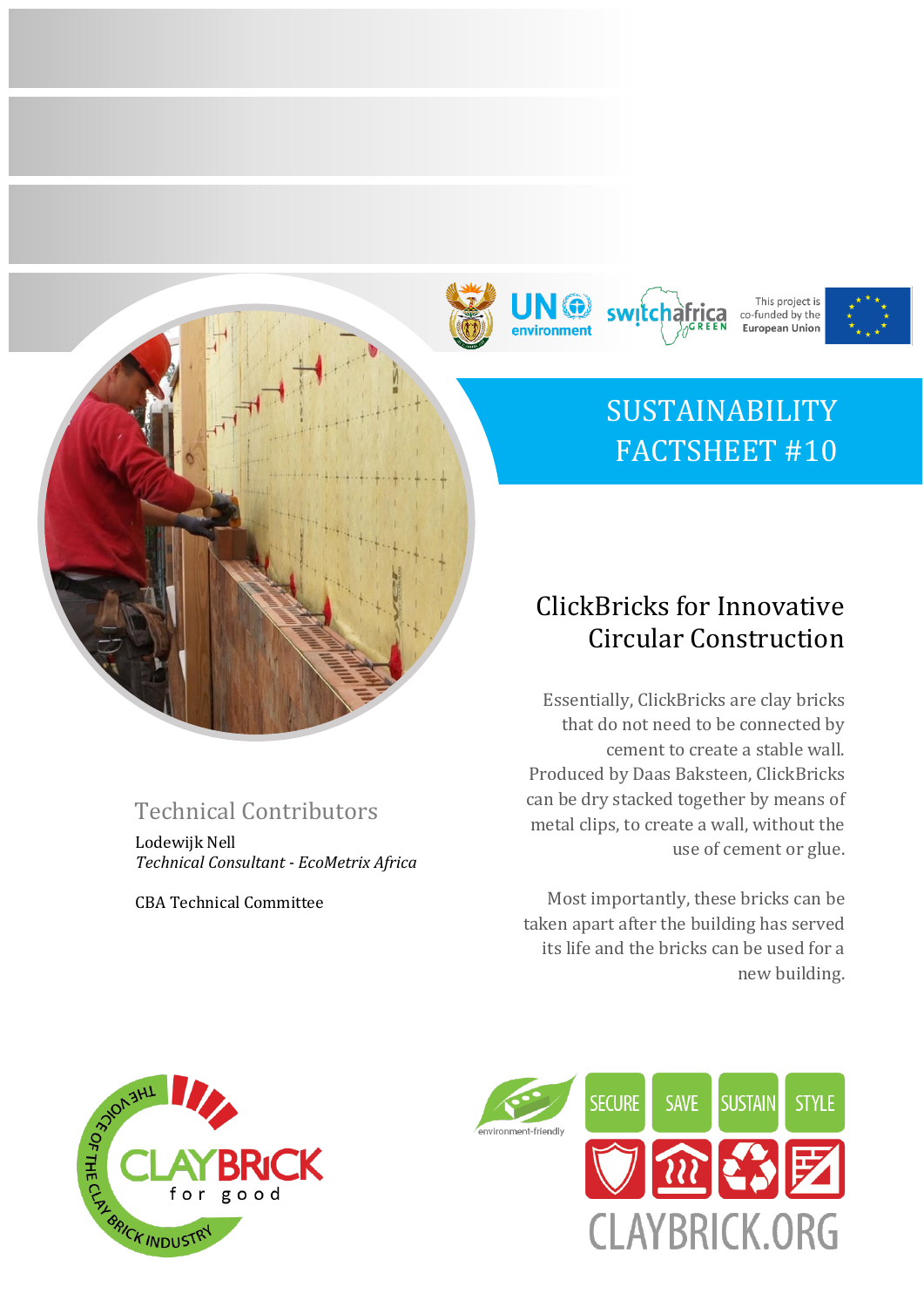







# SUSTAINABILITY FACTSHEET #10

# ClickBricks for Innovative Circular Construction

Essentially, ClickBricks are clay bricks that do not need to be connected by cement to create a stable wall. Produced by Daas Baksteen, ClickBricks can be dry stacked together by means of metal clips, to create a wall, without the use of cement or glue.

Most importantly, these bricks can be taken apart after the building has served its life and the bricks can be used for a new building.





# Technical Contributors

Lodewijk Nell *Technical Consultant - EcoMetrix Africa*

CBA Technical Committee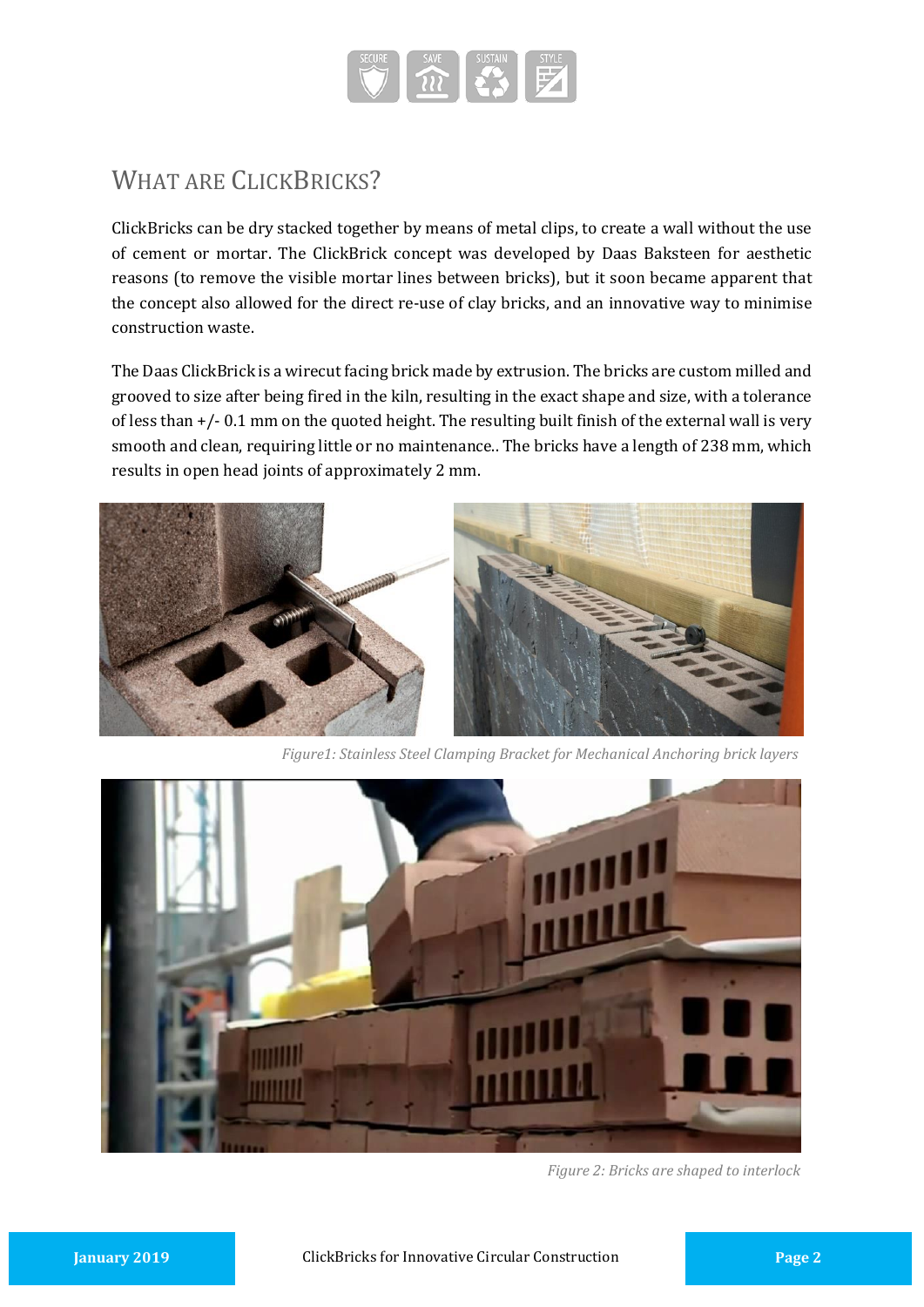

# WHAT ARE CLICKBRICKS?

ClickBricks can be dry stacked together by means of metal clips, to create a wall without the use of cement or mortar. The ClickBrick concept was developed by Daas Baksteen for aesthetic reasons (to remove the visible mortar lines between bricks), but it soon became apparent that the concept also allowed for the direct re-use of clay bricks, and an innovative way to minimise construction waste.

The Daas ClickBrick is a wirecut facing brick made by extrusion. The bricks are custom milled and grooved to size after being fired in the kiln, resulting in the exact shape and size, with a tolerance of less than +/- 0.1 mm on the quoted height. The resulting built finish of the external wall is very smooth and clean, requiring little or no maintenance.. The bricks have a length of 238 mm, which results in open head joints of approximately 2 mm.



*Figure1: Stainless Steel Clamping Bracket for Mechanical Anchoring brick layers*



*Figure 2: Bricks are shaped to interlock*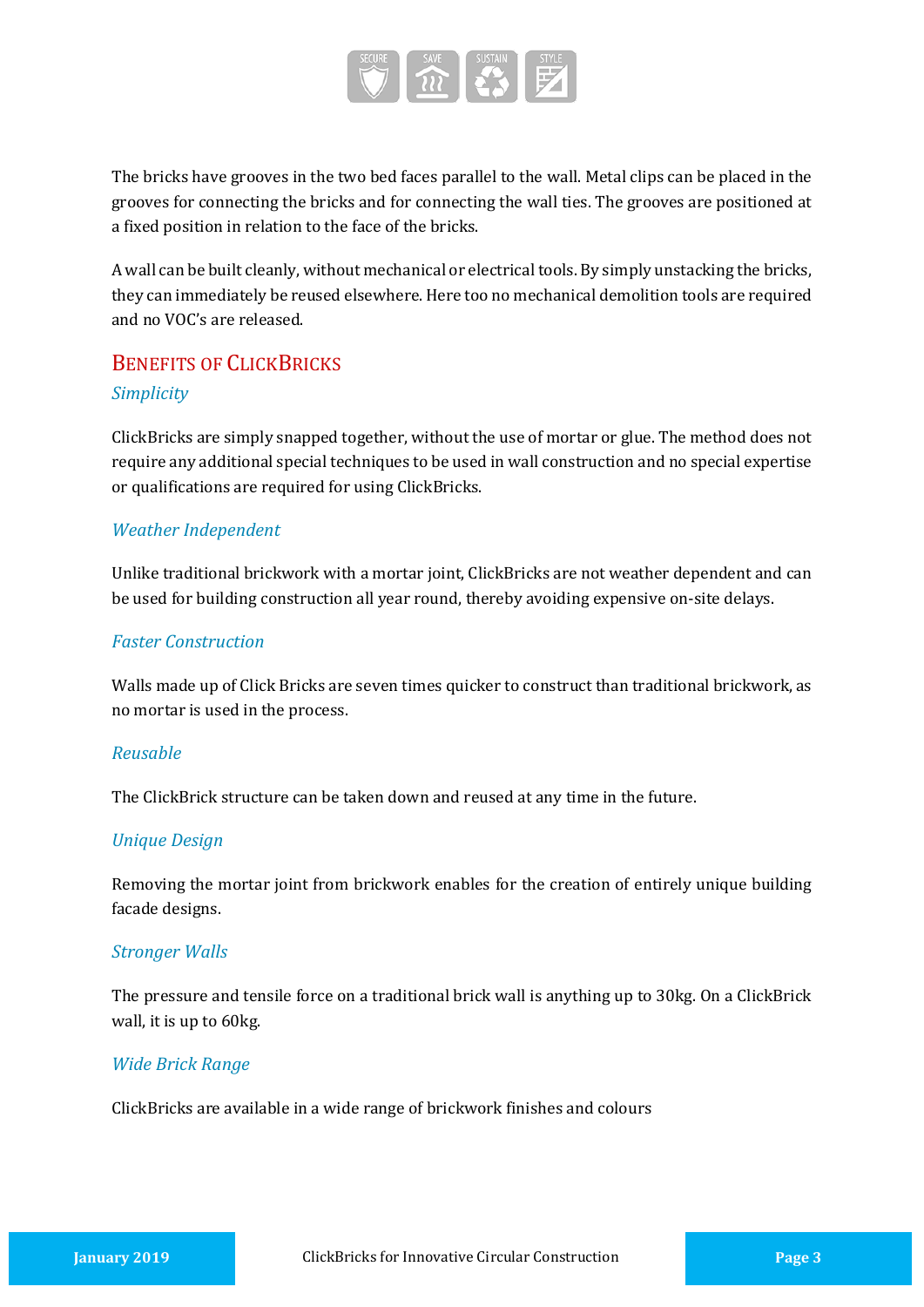

The bricks have grooves in the two bed faces parallel to the wall. Metal clips can be placed in the grooves for connecting the bricks and for connecting the wall ties. The grooves are positioned at a fixed position in relation to the face of the bricks.

A wall can be built cleanly, without mechanical or electrical tools. By simply unstacking the bricks, they can immediately be reused elsewhere. Here too no mechanical demolition tools are required and no VOC's are released.

## BENEFITS OF CLICKBRICKS *Simplicity*

ClickBricks are simply snapped together, without the use of mortar or glue. The method does not require any additional special techniques to be used in wall construction and no special expertise or qualifications are required for using ClickBricks.

#### *Weather Independent*

Unlike traditional brickwork with a mortar joint, ClickBricks are not weather dependent and can be used for building construction all year round, thereby avoiding expensive on-site delays.

#### *Faster Construction*

Walls made up of Click Bricks are seven times quicker to construct than traditional brickwork, as no mortar is used in the process.

#### *Reusable*

The ClickBrick structure can be taken down and reused at any time in the future.

#### *Unique Design*

Removing the mortar joint from brickwork enables for the creation of entirely unique building facade designs.

#### *Stronger Walls*

The pressure and tensile force on a traditional brick wall is anything up to 30kg. On a ClickBrick wall, it is up to 60kg.

#### *Wide Brick Range*

ClickBricks are available in a wide range of brickwork finishes and colours